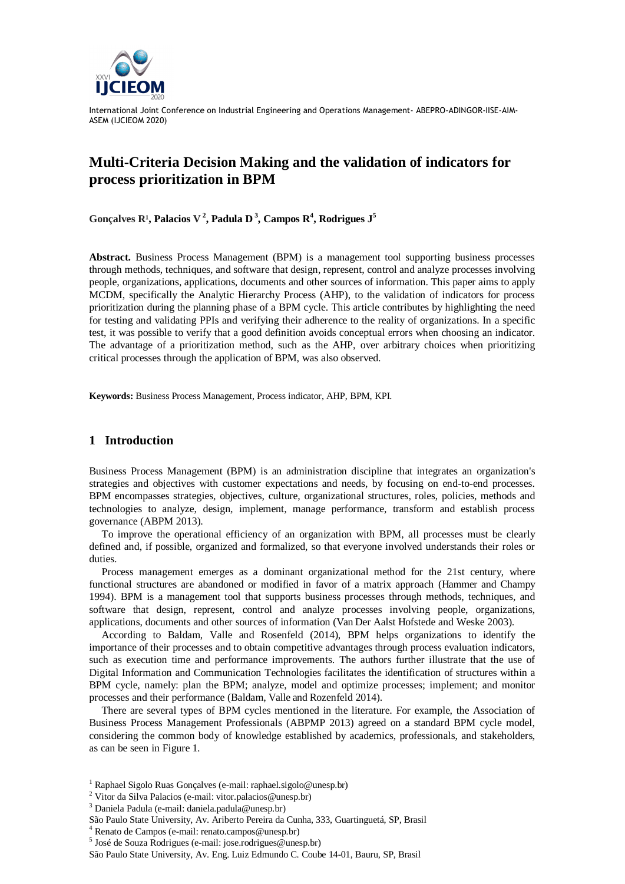

# **Multi-Criteria Decision Making and the validation of indicators for process prioritization in BPM**

Gonçalves  $\mathbb{R}^1$ , Palacios V<sup>2</sup>, Padula D<sup>3</sup>, Campos  $\mathbb{R}^4$ , Rodrigues J<sup>5</sup>

**Abstract.** Business Process Management (BPM) is a management tool supporting business processes through methods, techniques, and software that design, represent, control and analyze processes involving people, organizations, applications, documents and other sources of information. This paper aims to apply MCDM, specifically the Analytic Hierarchy Process (AHP), to the validation of indicators for process prioritization during the planning phase of a BPM cycle. This article contributes by highlighting the need for testing and validating PPIs and verifying their adherence to the reality of organizations. In a specific test, it was possible to verify that a good definition avoids conceptual errors when choosing an indicator. The advantage of a prioritization method, such as the AHP, over arbitrary choices when prioritizing critical processes through the application of BPM, was also observed.

**Keywords:** Business Process Management, Process indicator, AHP, BPM, KPI.

## **1 Introduction**

Business Process Management (BPM) is an administration discipline that integrates an organization's strategies and objectives with customer expectations and needs, by focusing on end-to-end processes. BPM encompasses strategies, objectives, culture, organizational structures, roles, policies, methods and technologies to analyze, design, implement, manage performance, transform and establish process governance (ABPM 2013).

To improve the operational efficiency of an organization with BPM, all processes must be clearly defined and, if possible, organized and formalized, so that everyone involved understands their roles or duties.

Process management emerges as a dominant organizational method for the 21st century, where functional structures are abandoned or modified in favor of a matrix approach (Hammer and Champy 1994). BPM is a management tool that supports business processes through methods, techniques, and software that design, represent, control and analyze processes involving people, organizations, applications, documents and other sources of information (Van Der Aalst Hofstede and Weske 2003).

According to Baldam, Valle and Rosenfeld (2014), BPM helps organizations to identify the importance of their processes and to obtain competitive advantages through process evaluation indicators, such as execution time and performance improvements. The authors further illustrate that the use of Digital Information and Communication Technologies facilitates the identification of structures within a BPM cycle, namely: plan the BPM; analyze, model and optimize processes; implement; and monitor processes and their performance (Baldam, Valle and Rozenfeld 2014).

There are several types of BPM cycles mentioned in the literature. For example, the Association of Business Process Management Professionals (ABPMP 2013) agreed on a standard BPM cycle model, considering the common body of knowledge established by academics, professionals, and stakeholders, as can be seen in Figure 1.

<sup>&</sup>lt;sup>1</sup> Raphael Sigolo Ruas Gonçalves (e-mail: raphael.sigolo@unesp.br) <sup>2</sup> Vitor da Silva Palacios (e-mail: vitor.palacios@unesp.br)

<sup>3</sup> Daniela Padula (e-mail: daniela.padula@unesp.br)

São Paulo State University, Av. Ariberto Pereira da Cunha, 333, Guartinguetá, SP, Brasil 4 Renato de Campos (e-mail: renato.campos@unesp.br)

 $<sup>5</sup>$  José de Souza Rodrigues (e-mail: jose.rodrigues@unesp.br)</sup>

São Paulo State University, Av. Eng. Luiz Edmundo C. Coube 14-01, Bauru, SP, Brasil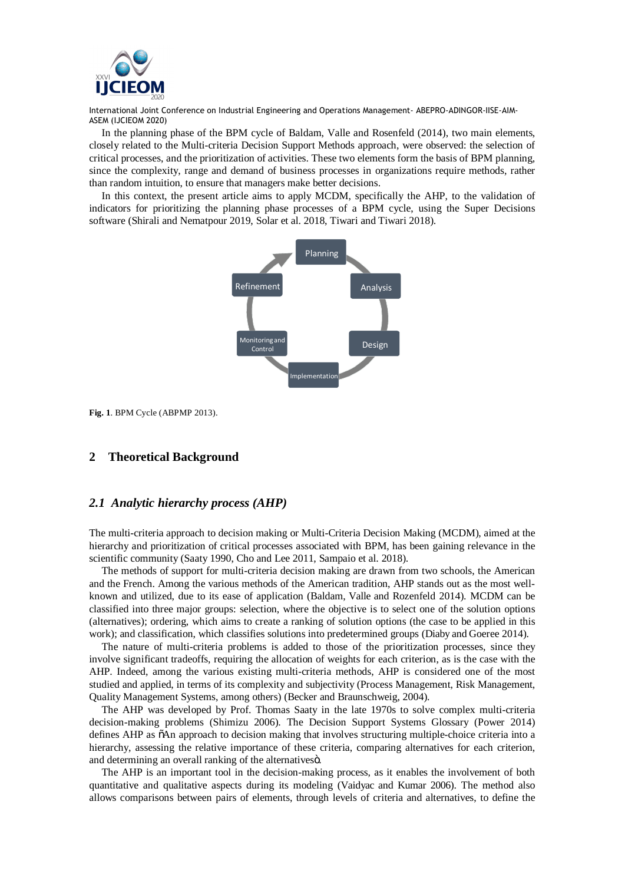

In the planning phase of the BPM cycle of Baldam, Valle and Rosenfeld (2014), two main elements, closely related to the Multi-criteria Decision Support Methods approach, were observed: the selection of critical processes, and the prioritization of activities. These two elements form the basis of BPM planning, since the complexity, range and demand of business processes in organizations require methods, rather than random intuition, to ensure that managers make better decisions.

In this context, the present article aims to apply MCDM, specifically the AHP, to the validation of indicators for prioritizing the planning phase processes of a BPM cycle, using the Super Decisions software (Shirali and Nematpour 2019, Solar et al. 2018, Tiwari and Tiwari 2018).



**Fig. 1**. BPM Cycle (ABPMP 2013).

# **2 Theoretical Background**

### *2.1 Analytic hierarchy process (AHP)*

The multi-criteria approach to decision making or Multi-Criteria Decision Making (MCDM), aimed at the hierarchy and prioritization of critical processes associated with BPM, has been gaining relevance in the scientific community (Saaty 1990, Cho and Lee 2011, Sampaio et al. 2018).

The methods of support for multi-criteria decision making are drawn from two schools, the American and the French. Among the various methods of the American tradition, AHP stands out as the most wellknown and utilized, due to its ease of application (Baldam, Valle and Rozenfeld 2014). MCDM can be classified into three major groups: selection, where the objective is to select one of the solution options (alternatives); ordering, which aims to create a ranking of solution options (the case to be applied in this work); and classification, which classifies solutions into predetermined groups (Diaby and Goeree 2014).

The nature of multi-criteria problems is added to those of the prioritization processes, since they involve significant tradeoffs, requiring the allocation of weights for each criterion, as is the case with the AHP. Indeed, among the various existing multi-criteria methods, AHP is considered one of the most studied and applied, in terms of its complexity and subjectivity (Process Management, Risk Management, Quality Management Systems, among others) (Becker and Braunschweig, 2004).

The AHP was developed by Prof. Thomas Saaty in the late 1970s to solve complex multi-criteria decision-making problems (Shimizu 2006). The Decision Support Systems Glossary (Power 2014) defines AHP as  $\tilde{o}$ An approach to decision making that involves structuring multiple-choice criteria into a hierarchy, assessing the relative importance of these criteria, comparing alternatives for each criterion, and determining an overall ranking of the alternatives $\ddot{\rm{o}}$ .

The AHP is an important tool in the decision-making process, as it enables the involvement of both quantitative and qualitative aspects during its modeling (Vaidyac and Kumar 2006). The method also allows comparisons between pairs of elements, through levels of criteria and alternatives, to define the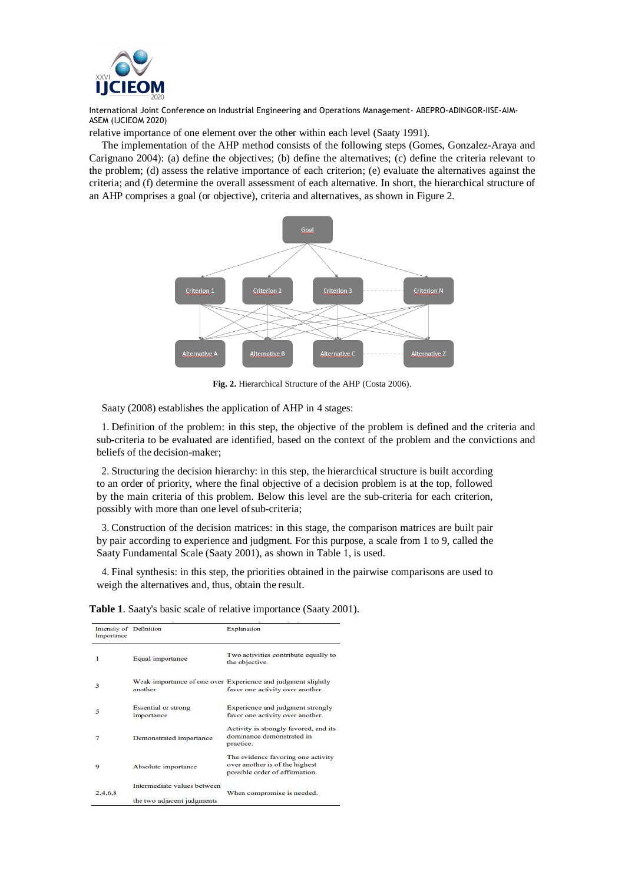

relative importance of one element over the other within each level (Saaty 1991).

The implementation of the AHP method consists of the following steps (Gomes, Gonzalez-Araya and Carignano 2004): (a) define the objectives; (b) define the alternatives; (c) define the criteria relevant to the problem; (d) assess the relative importance of each criterion; (e) evaluate the alternatives against the criteria; and (f) determine the overall assessment of each alternative. In short, the hierarchical structure of an AHP comprises a goal (or objective), criteria and alternatives, as shown in Figure 2.



**Fig. 2.** Hierarchical Structure of the AHP (Costa 2006).

Saaty (2008) establishes the application of AHP in 4 stages:

1. Definition of the problem: in this step, the objective of the problem is defined and the criteria and sub-criteria to be evaluated are identified, based on the context of the problem and the convictions and beliefs of the decision-maker;

2. Structuring the decision hierarchy: in this step, the hierarchical structure is built according to an order of priority, where the final objective of a decision problem is at the top, followed by the main criteria of this problem. Below this level are the sub-criteria for each criterion, possibly with more than one level of sub-criteria;

3. Construction of the decision matrices: in this stage, the comparison matrices are built pair by pair according to experience and judgment. For this purpose, a scale from 1 to 9, called the Saaty Fundamental Scale (Saaty 2001), as shown in Table 1, is used.

4. Final synthesis: in this step, the priorities obtained in the pairwise comparisons are used to weigh the alternatives and, thus, obtain the result.

| Intensity of Definition<br>Importance |                                                           | Explanation                                                                                            |  |
|---------------------------------------|-----------------------------------------------------------|--------------------------------------------------------------------------------------------------------|--|
| 1                                     | Equal importance                                          | Two activities contribute equally to<br>the objective.                                                 |  |
| 3                                     | another                                                   | Weak importance of one over Experience and judgment slightly<br>favor one activity over another.       |  |
| 5                                     | <b>Essential or strong</b><br>importance                  | Experience and judgment strongly<br>favor one activity over another.                                   |  |
|                                       | Demonstrated importance                                   | Activity is strongly favored, and its<br>dominance demonstrated in<br>practice.                        |  |
| 9                                     | Absolute importance                                       | The evidence favoring one activity<br>over another is of the highest<br>possible order of affirmation. |  |
| 2,4,6,8                               | Intermediate values between<br>the two adjacent judgments | When compromise is needed.                                                                             |  |

**Table 1**. Saaty's basic scale of relative importance (Saaty 2001).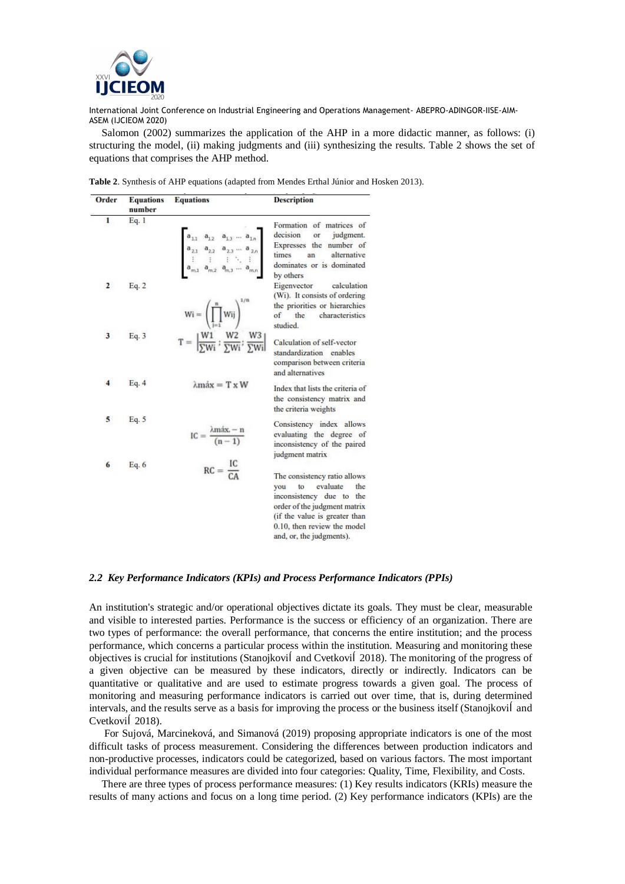

Salomon (2002) summarizes the application of the AHP in a more didactic manner, as follows: (i) structuring the model, (ii) making judgments and (iii) synthesizing the results. Table 2 shows the set of equations that comprises the AHP method.

| Table 2. Synthesis of AHP equations (adapted from Mendes Erthal Júnior and Hosken 2013). |  |  |
|------------------------------------------------------------------------------------------|--|--|
|------------------------------------------------------------------------------------------|--|--|

| Order                   | Equations<br>number | <b>Equations</b>                                                                                                                                                              | Description                                                                                                                                                                                                             |
|-------------------------|---------------------|-------------------------------------------------------------------------------------------------------------------------------------------------------------------------------|-------------------------------------------------------------------------------------------------------------------------------------------------------------------------------------------------------------------------|
| 1                       | Eq. 1               | $a_{1,1}$ $a_{1,2}$ $a_{1,3}$ $a_{1,n}$<br>$a_{2,1}$ $a_{2,2}$ $a_{2,3}$ $a_{2,n}$<br>$\vdots$ $\vdots$ $\vdots$ $\vdots$ $\vdots$<br>$a_{m,1}$ $a_{m,2}$ $a_{m,3}$ $a_{m,2}$ | Formation of matrices of<br>decision or<br>judgment.<br>Expresses the number of<br>times<br>an<br>alternative<br>dominates or is dominated<br>by others                                                                 |
| $\overline{\mathbf{c}}$ | Eq. 2               | $Wi = \left(\prod_{j=1}^{n} Wij\right)^{1/n}$<br>$T = \left[\frac{W1}{\sum Wi}; \frac{W2}{\sum Wi}; \frac{W3}{\sum Wi}\right]$                                                | Eigenvector<br>calculation<br>(Wi). It consists of ordering<br>the priorities or hierarchies<br>of the<br>characteristics<br>studied.                                                                                   |
| $\overline{\mathbf{3}}$ | Eq. 3               |                                                                                                                                                                               | Calculation of self-vector<br>standardization enables<br>comparison between criteria<br>and alternatives                                                                                                                |
| 4                       | Eq. 4               | $\lambda$ máx = T x W                                                                                                                                                         | Index that lists the criteria of<br>the consistency matrix and<br>the criteria weights                                                                                                                                  |
| 5                       | Eq. $5$             | $IC = \frac{\lambda \max - n}{(n-1)}$                                                                                                                                         | Consistency index allows<br>evaluating the degree of<br>inconsistency of the paired<br>judgment matrix                                                                                                                  |
| 6                       | Eq. $6$             | $RC = \frac{IC}{CA}$                                                                                                                                                          | The consistency ratio allows<br>evaluate<br>the<br>to<br>vou<br>inconsistency due to<br>the<br>order of the judgment matrix<br>(if the value is greater than<br>0.10, then review the model<br>and, or, the judgments). |

#### *2.2 Key Performance Indicators (KPIs) and Process Performance Indicators (PPIs)*

An institution's strategic and/or operational objectives dictate its goals. They must be clear, measurable and visible to interested parties. Performance is the success or efficiency of an organization. There are two types of performance: the overall performance, that concerns the entire institution; and the process performance, which concerns a particular process within the institution. Measuring and monitoring these objectives is crucial for institutions (Stanojkovi and Cvetkovi 2018). The monitoring of the progress of a given objective can be measured by these indicators, directly or indirectly. Indicators can be quantitative or qualitative and are used to estimate progress towards a given goal. The process of monitoring and measuring performance indicators is carried out over time, that is, during determined intervals, and the results serve as a basis for improving the process or the business itself (Stanojkovi and Cvetkovi 2018).

For Sujová, Marcineková, and Simanová (2019) proposing appropriate indicators is one of the most difficult tasks of process measurement. Considering the differences between production indicators and non-productive processes, indicators could be categorized, based on various factors. The most important individual performance measures are divided into four categories: Quality, Time, Flexibility, and Costs.

There are three types of process performance measures: (1) Key results indicators (KRIs) measure the results of many actions and focus on a long time period. (2) Key performance indicators (KPIs) are the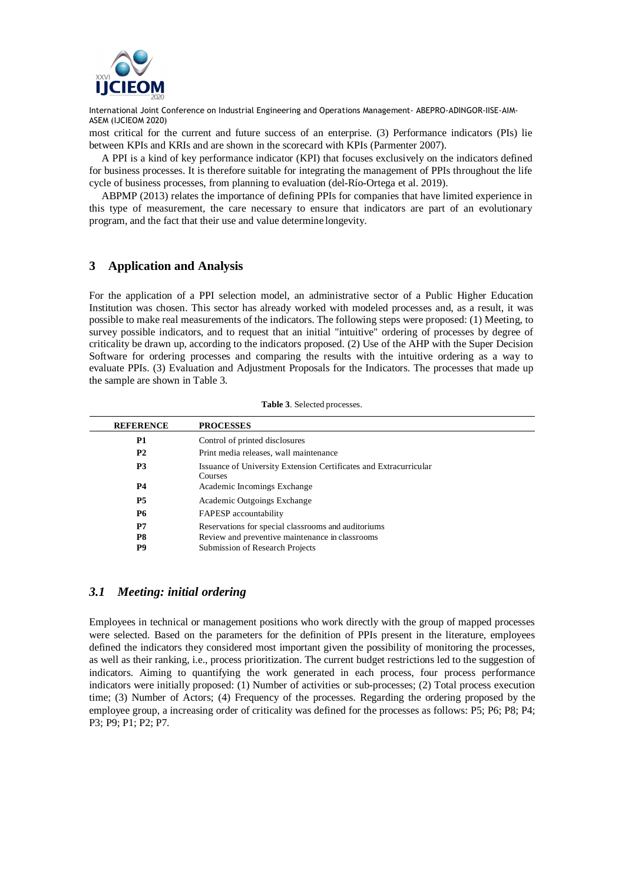

most critical for the current and future success of an enterprise. (3) Performance indicators (PIs) lie between KPIs and KRIs and are shown in the scorecard with KPIs (Parmenter 2007).

A PPI is a kind of key performance indicator (KPI) that focuses exclusively on the indicators defined for business processes. It is therefore suitable for integrating the management of PPIs throughout the life cycle of business processes, from planning to evaluation (del-Río-Ortega et al. 2019).

ABPMP (2013) relates the importance of defining PPIs for companies that have limited experience in this type of measurement, the care necessary to ensure that indicators are part of an evolutionary program, and the fact that their use and value determine longevity.

# **3 Application and Analysis**

For the application of a PPI selection model, an administrative sector of a Public Higher Education Institution was chosen. This sector has already worked with modeled processes and, as a result, it was possible to make real measurements of the indicators. The following steps were proposed: (1) Meeting, to survey possible indicators, and to request that an initial "intuitive" ordering of processes by degree of criticality be drawn up, according to the indicators proposed. (2) Use of the AHP with the Super Decision Software for ordering processes and comparing the results with the intuitive ordering as a way to evaluate PPIs. (3) Evaluation and Adjustment Proposals for the Indicators. The processes that made up the sample are shown in Table 3.

| <b>REFERENCE</b> | <b>PROCESSES</b>                                                                   |
|------------------|------------------------------------------------------------------------------------|
| <b>P1</b>        | Control of printed disclosures                                                     |
| <b>P2</b>        | Print media releases, wall maintenance                                             |
| P <sub>3</sub>   | Issuance of University Extension Certificates and Extracurricular<br>Courses       |
| <b>P4</b>        | Academic Incomings Exchange                                                        |
| <b>P5</b>        | Academic Outgoings Exchange                                                        |
| <b>P6</b>        | FAPESP accountability                                                              |
| P7               | Reservations for special classrooms and auditoriums                                |
| P8<br>P9         | Review and preventive maintenance in classrooms<br>Submission of Research Projects |

#### **Table 3**. Selected processes.

# *3.1 Meeting: initial ordering*

Employees in technical or management positions who work directly with the group of mapped processes were selected. Based on the parameters for the definition of PPIs present in the literature, employees defined the indicators they considered most important given the possibility of monitoring the processes, as well as their ranking, i.e., process prioritization. The current budget restrictions led to the suggestion of indicators. Aiming to quantifying the work generated in each process, four process performance indicators were initially proposed: (1) Number of activities or sub-processes; (2) Total process execution time; (3) Number of Actors; (4) Frequency of the processes. Regarding the ordering proposed by the employee group, a increasing order of criticality was defined for the processes as follows: P5; P6; P8; P4; P3; P9; P1; P2; P7.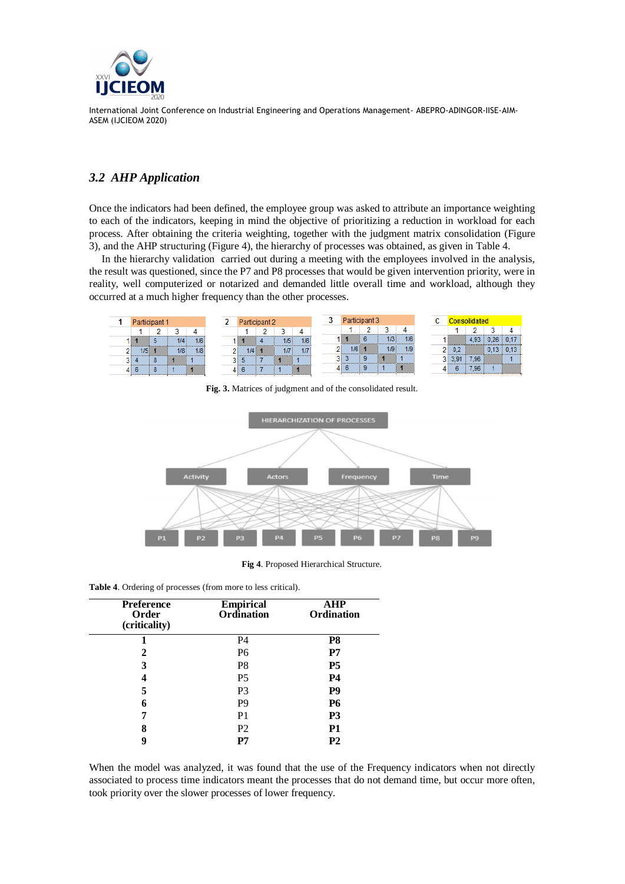

# *3.2 AHP Application*

Once the indicators had been defined, the employee group was asked to attribute an importance weighting to each of the indicators, keeping in mind the objective of prioritizing a reduction in workload for each process. After obtaining the criteria weighting, together with the judgment matrix consolidation (Figure 3), and the AHP structuring (Figure 4), the hierarchy of processes was obtained, as given in Table 4.

In the hierarchy validation carried out during a meeting with the employees involved in the analysis, the result was questioned, since the P7 and P8 processes that would be given intervention priority, were in reality, well computerized or notarized and demanded little overall time and workload, although they occurred at a much higher frequency than the other processes.



**Fig. 3.** Matrices of judgment and of the consolidated result.



**Fig 4**. Proposed Hierarchical Structure.

**Table 4**. Ordering of processes (from more to less critical).

| <b>Preference</b><br>Order<br>(criticality) | <b>Empirical</b><br>Ordination | AHP<br><b>Ordination</b> |  |
|---------------------------------------------|--------------------------------|--------------------------|--|
|                                             | P4                             | P <sub>8</sub>           |  |
| 2                                           | P <sub>6</sub>                 | P7                       |  |
| 3                                           | P <sub>8</sub>                 | <b>P5</b>                |  |
|                                             | P <sub>5</sub>                 | <b>P4</b>                |  |
| 5                                           | P <sub>3</sub>                 | P <sub>9</sub>           |  |
| 6                                           | P <sub>9</sub>                 | <b>P6</b>                |  |
| 7                                           | P <sub>1</sub>                 | P <sub>3</sub>           |  |
| 8                                           | P <sub>2</sub>                 | <b>P1</b>                |  |
| g                                           | P7                             | P2                       |  |

When the model was analyzed, it was found that the use of the Frequency indicators when not directly associated to process time indicators meant the processes that do not demand time, but occur more often, took priority over the slower processes of lower frequency.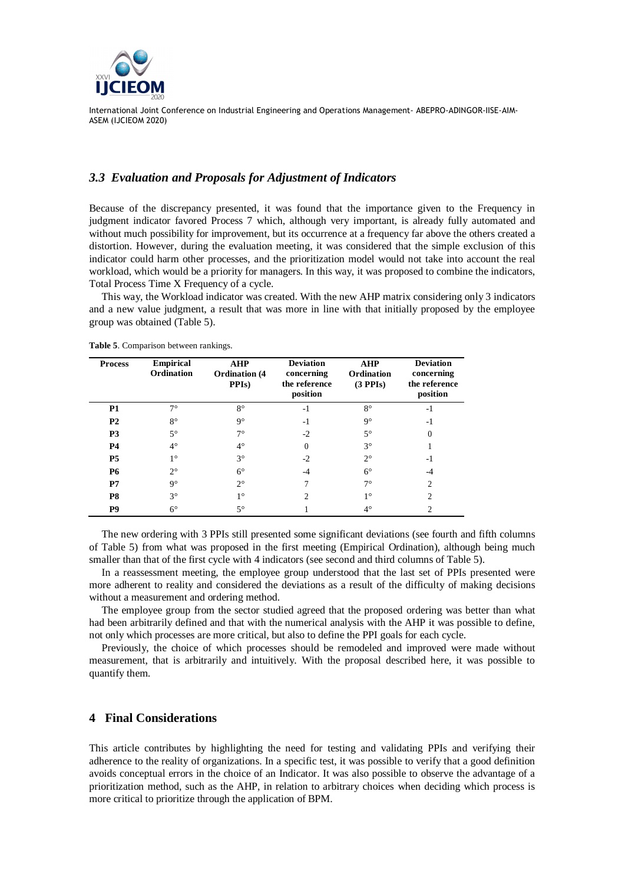

### *3.3 Evaluation and Proposals for Adjustment of Indicators*

Because of the discrepancy presented, it was found that the importance given to the Frequency in judgment indicator favored Process 7 which, although very important, is already fully automated and without much possibility for improvement, but its occurrence at a frequency far above the others created a distortion. However, during the evaluation meeting, it was considered that the simple exclusion of this indicator could harm other processes, and the prioritization model would not take into account the real workload, which would be a priority for managers. In this way, it was proposed to combine the indicators, Total Process Time X Frequency of a cycle.

This way, the Workload indicator was created. With the new AHP matrix considering only 3 indicators and a new value judgment, a result that was more in line with that initially proposed by the employee group was obtained (Table 5).

| <b>Process</b> | <b>Empirical</b><br>Ordination | <b>AHP</b><br><b>Ordination</b> (4)<br>PPI <sub>s</sub> ) | <b>Deviation</b><br>concerning<br>the reference<br>position | <b>AHP</b><br>Ordination<br>(3 PPIs) | <b>Deviation</b><br>concerning<br>the reference<br>position |
|----------------|--------------------------------|-----------------------------------------------------------|-------------------------------------------------------------|--------------------------------------|-------------------------------------------------------------|
| P <sub>1</sub> | $7^\circ$                      | $8^{\circ}$                                               | $-1$                                                        | $8^{\circ}$                          | $-1$                                                        |
| P <sub>2</sub> | $8^{\circ}$                    | $9^{\circ}$                                               | $-1$                                                        | $9^\circ$                            | $-1$                                                        |
| P <sub>3</sub> | $5^{\circ}$                    | $7^{\circ}$                                               | $-2$                                                        | $5^{\circ}$                          | $\theta$                                                    |
| <b>P4</b>      | $4^{\circ}$                    | $4^{\circ}$                                               | $\Omega$                                                    | $3^\circ$                            |                                                             |
| P <sub>5</sub> | 10                             | $3^{\circ}$                                               | $-2$                                                        | $2^{\circ}$                          | -1                                                          |
| <b>P6</b>      | $2^{\circ}$                    | $6^{\circ}$                                               | -4                                                          | $6^{\circ}$                          | -4                                                          |
| P7             | $9^{\circ}$                    | $2^{\circ}$                                               |                                                             | $7^\circ$                            | っ                                                           |
| P <sub>8</sub> | $3^{\circ}$                    | $1^{\circ}$                                               | $\overline{c}$                                              | $1^{\circ}$                          | $\mathfrak{D}$                                              |
| <b>P9</b>      | $6^{\circ}$                    | $5^\circ$                                                 |                                                             | $4^{\circ}$                          | 2                                                           |

**Table 5**. Comparison between rankings.

The new ordering with 3 PPIs still presented some significant deviations (see fourth and fifth columns of Table 5) from what was proposed in the first meeting (Empirical Ordination), although being much smaller than that of the first cycle with 4 indicators (see second and third columns of Table 5).

In a reassessment meeting, the employee group understood that the last set of PPIs presented were more adherent to reality and considered the deviations as a result of the difficulty of making decisions without a measurement and ordering method.

The employee group from the sector studied agreed that the proposed ordering was better than what had been arbitrarily defined and that with the numerical analysis with the AHP it was possible to define, not only which processes are more critical, but also to define the PPI goals for each cycle.

Previously, the choice of which processes should be remodeled and improved were made without measurement, that is arbitrarily and intuitively. With the proposal described here, it was possible to quantify them.

## **4 Final Considerations**

This article contributes by highlighting the need for testing and validating PPIs and verifying their adherence to the reality of organizations. In a specific test, it was possible to verify that a good definition avoids conceptual errors in the choice of an Indicator. It was also possible to observe the advantage of a prioritization method, such as the AHP, in relation to arbitrary choices when deciding which process is more critical to prioritize through the application of BPM.